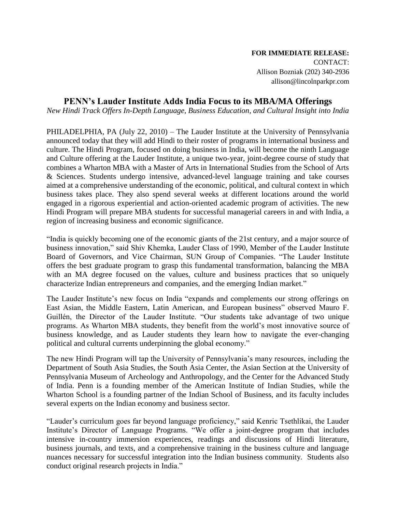# **FOR IMMEDIATE RELEASE:** CONTACT: Allison Bozniak (202) 340-2936 allison@lincolnparkpr.com

# **PENN's Lauder Institute Adds India Focus to its MBA/MA Offerings**

*New Hindi Track Offers In-Depth Language, Business Education, and Cultural Insight into India* 

PHILADELPHIA, PA (July 22, 2010) – The Lauder Institute at the University of Pennsylvania announced today that they will add Hindi to their roster of programs in international business and culture. The Hindi Program, focused on doing business in India, will become the ninth Language and Culture offering at the Lauder Institute, a unique two-year, joint-degree course of study that combines a Wharton MBA with a Master of Arts in International Studies from the School of Arts & Sciences. Students undergo intensive, advanced-level language training and take courses aimed at a comprehensive understanding of the economic, political, and cultural context in which business takes place. They also spend several weeks at different locations around the world engaged in a rigorous experiential and action-oriented academic program of activities. The new Hindi Program will prepare MBA students for successful managerial careers in and with India, a region of increasing business and economic significance.

―India is quickly becoming one of the economic giants of the 21st century, and a major source of business innovation," said Shiv Khemka, Lauder Class of 1990, Member of the Lauder Institute Board of Governors, and Vice Chairman, SUN Group of Companies. "The Lauder Institute offers the best graduate program to grasp this fundamental transformation, balancing the MBA with an MA degree focused on the values, culture and business practices that so uniquely characterize Indian entrepreneurs and companies, and the emerging Indian market."

The Lauder Institute's new focus on India "expands and complements our strong offerings on East Asian, the Middle Eastern, Latin American, and European business" observed Mauro F. Guillén, the Director of the Lauder Institute. "Our students take advantage of two unique programs. As Wharton MBA students, they benefit from the world's most innovative source of business knowledge, and as Lauder students they learn how to navigate the ever-changing political and cultural currents underpinning the global economy."

The new Hindi Program will tap the University of Pennsylvania's many resources, including the Department of South Asia Studies, the South Asia Center, the Asian Section at the University of Pennsylvania Museum of Archeology and Anthropology, and the Center for the Advanced Study of India. Penn is a founding member of the American Institute of Indian Studies, while the Wharton School is a founding partner of the Indian School of Business, and its faculty includes several experts on the Indian economy and business sector.

―Lauder's curriculum goes far beyond language proficiency,‖ said Kenric Tsethlikai, the Lauder Institute's Director of Language Programs. "We offer a joint-degree program that includes intensive in-country immersion experiences, readings and discussions of Hindi literature, business journals, and texts, and a comprehensive training in the business culture and language nuances necessary for successful integration into the Indian business community. Students also conduct original research projects in India."